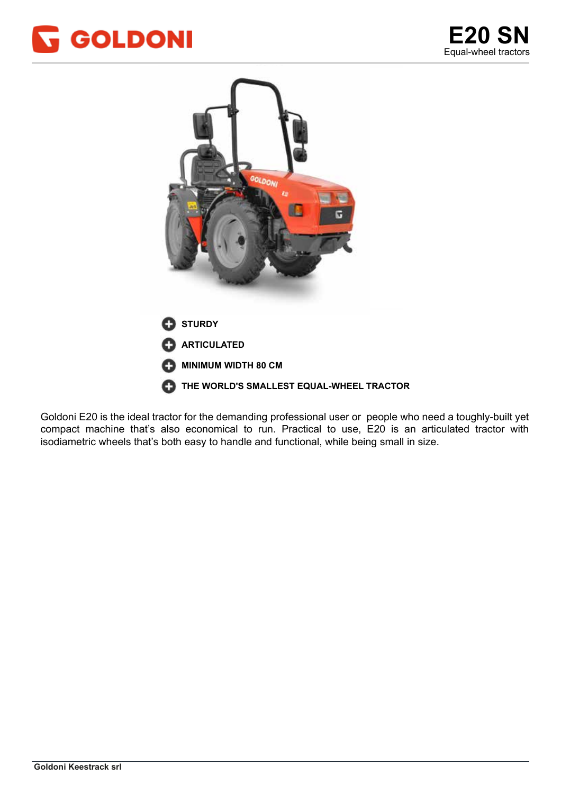



Goldoni E20 is the ideal tractor for the demanding professional user or people who need a toughly-built yet compact machine that's also economical to run. Practical to use, E20 is an articulated tractor with isodiametric wheels that's both easy to handle and functional, while being small in size.